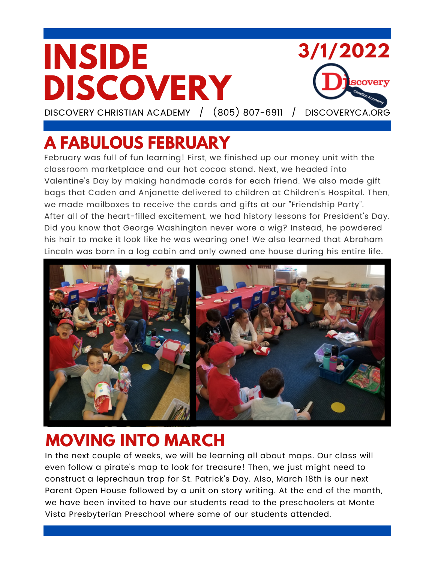#### **INSIDE 3/1/2022 DISCOVERY** covery DISCOVERY CHRISTIAN ACADEMY / (805) 807-6911 / DISCOVERYCA.ORG

**A FABULOUS FEBRUARY**

February was full of fun learning! First, we finished up our money unit with the classroom marketplace and our hot cocoa stand. Next, we headed into Valentine's Day by making handmade cards for each friend. We also made gift bags that Caden and Anjanette delivered to children at Children's Hospital. Then, we made mailboxes to receive the cards and gifts at our "Friendship Party". After all of the heart-filled excitement, we had history lessons for President's Day. Did you know that George Washington never wore a wig? Instead, he powdered his hair to make it look like he was wearing one! We also learned that Abraham Lincoln was born in a log cabin and only owned one house during his entire life.



## **MOVING INTO MARCH**

In the next couple of weeks, we will be learning all about maps. Our class will even follow a pirate's map to look for treasure! Then, we just might need to construct a leprechaun trap for St. Patrick's Day. Also, March 18th is our next Parent Open House followed by a unit on story writing. At the end of the month, we have been invited to have our students read to the preschoolers at Monte Vista Presbyterian Preschool where some of our students attended.